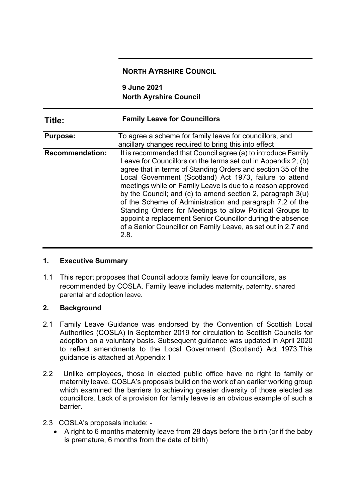# **NORTH AYRSHIRE COUNCIL**

# **9 June 2021 North Ayrshire Council**

| Title:                 | <b>Family Leave for Councillors</b>                                                                                                                                                                                                                                                                                                                                                                                                                                                                                                                                                                                                                    |
|------------------------|--------------------------------------------------------------------------------------------------------------------------------------------------------------------------------------------------------------------------------------------------------------------------------------------------------------------------------------------------------------------------------------------------------------------------------------------------------------------------------------------------------------------------------------------------------------------------------------------------------------------------------------------------------|
| <b>Purpose:</b>        | To agree a scheme for family leave for councillors, and<br>ancillary changes required to bring this into effect                                                                                                                                                                                                                                                                                                                                                                                                                                                                                                                                        |
| <b>Recommendation:</b> | It is recommended that Council agree (a) to introduce Family<br>Leave for Councillors on the terms set out in Appendix 2; (b)<br>agree that in terms of Standing Orders and section 35 of the<br>Local Government (Scotland) Act 1973, failure to attend<br>meetings while on Family Leave is due to a reason approved<br>by the Council; and (c) to amend section 2, paragraph $3(u)$<br>of the Scheme of Administration and paragraph 7.2 of the<br>Standing Orders for Meetings to allow Political Groups to<br>appoint a replacement Senior Councillor during the absence<br>of a Senior Councillor on Family Leave, as set out in 2.7 and<br>2.8. |

#### **1. Executive Summary**

1.1 This report proposes that Council adopts family leave for councillors, as recommended by COSLA. Family leave includes maternity, paternity, shared parental and adoption leave.

#### **2. Background**

- 2.1 Family Leave Guidance was endorsed by the Convention of Scottish Local Authorities (COSLA) in September 2019 for circulation to Scottish Councils for adoption on a voluntary basis. Subsequent guidance was updated in April 2020 to reflect amendments to the Local Government (Scotland) Act 1973.This guidance is attached at Appendix 1
- 2.2 Unlike employees, those in elected public office have no right to family or maternity leave. COSLA's proposals build on the work of an earlier working group which examined the barriers to achieving greater diversity of those elected as councillors. Lack of a provision for family leave is an obvious example of such a barrier.
- 2.3 COSLA's proposals include:
	- A right to 6 months maternity leave from 28 days before the birth (or if the baby is premature, 6 months from the date of birth)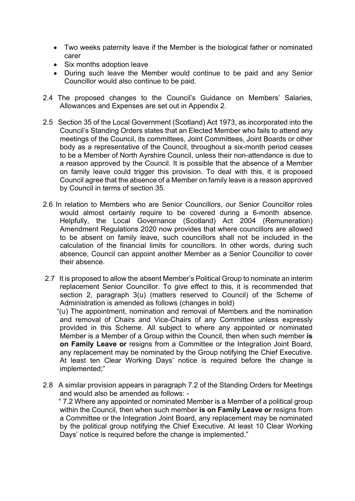- Two weeks paternity leave if the Member is the biological father or nominated carer
- Six months adoption leave
- During such leave the Member would continue to be paid and any Senior Councillor would also continue to be paid.
- 2.4 The proposed changes to the Council's Guidance on Members' Salaries, Allowances and Expenses are set out in Appendix 2.
- 2.5 Section 35 of the Local Government (Scotland) Act 1973, as incorporated into the Council's Standing Orders states that an Elected Member who fails to attend any meetings of the Council, its committees, Joint Committees, Joint Boards or other body as a representative of the Council, throughout a six-month period ceases to be a Member of North Ayrshire Council, unless their non-attendance is due to a reason approved by the Council. It is possible that the absence of a Member on family leave could trigger this provision. To deal with this, it is proposed Council agree that the absence of a Member on family leave is a reason approved by Council in terms of section 35.
- 2.6 In relation to Members who are Senior Councillors, our Senior Councillor roles would almost certainly require to be covered during a 6-month absence. Helpfully, the Local Governance (Scotland) Act 2004 (Remuneration) Amendment Regulations 2020 now provides that where councillors are allowed to be absent on family leave, such councillors shall not be included in the calculation of the financial limits for councillors. In other words, during such absence, Council can appoint another Member as a Senior Councillor to cover their absence.
- 2.7 It is proposed to allow the absent Member's Political Group to nominate an interim replacement Senior Councillor. To give effect to this, it is recommended that section 2, paragraph 3(u) (matters reserved to Council) of the Scheme of Administration is amended as follows (changes in bold)

 "(u) The appointment, nomination and removal of Members and the nomination and removal of Chairs and Vice-Chairs of any Committee unless expressly provided in this Scheme. All subject to where any appointed or nominated Member is a Member of a Group within the Council, then when such member **is on Family Leave or** resigns from a Committee or the Integration Joint Board, any replacement may be nominated by the Group notifying the Chief Executive. At least ten Clear Working Days' notice is required before the change is implemented;"

2.8 A similar provision appears in paragraph 7.2 of the Standing Orders for Meetings and would also be amended as follows: - " 7.2 Where any appointed or nominated Member is a Member of a political group within the Council, then when such member **is on Family Leave or** resigns from a Committee or the Integration Joint Board, any replacement may be nominated by the political group notifying the Chief Executive. At least 10 Clear Working Days' notice is required before the change is implemented."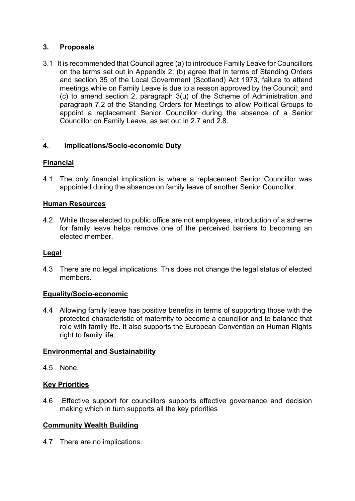# **3. Proposals**

3.1 It is recommended that Council agree (a) to introduce Family Leave for Councillors on the terms set out in Appendix 2; (b) agree that in terms of Standing Orders and section 35 of the Local Government (Scotland) Act 1973, failure to attend meetings while on Family Leave is due to a reason approved by the Council; and (c) to amend section 2, paragraph 3(u) of the Scheme of Administration and paragraph 7.2 of the Standing Orders for Meetings to allow Political Groups to appoint a replacement Senior Councillor during the absence of a Senior Councillor on Family Leave, as set out in 2.7 and 2.8.

#### . **4. Implications/Socio-economic Duty**

# **Financial**

4.1 The only financial implication is where a replacement Senior Councillor was appointed during the absence on family leave of another Senior Councillor.

### **Human Resources**

4.2 While those elected to public office are not employees, introduction of a scheme for family leave helps remove one of the perceived barriers to becoming an elected member.

## **Legal**

4.3 There are no legal implications. This does not change the legal status of elected members.

## **Equality/Socio-economic**

4.4 Allowing family leave has positive benefits in terms of supporting those with the protected characteristic of maternity to become a councillor and to balance that role with family life. It also supports the European Convention on Human Rights right to family life.

## **Environmental and Sustainability**

4.5 None.

#### **Key Priorities**

4.6 Effective support for councillors supports effective governance and decision making which in turn supports all the key priorities

## **Community Wealth Building**

4.7 There are no implications.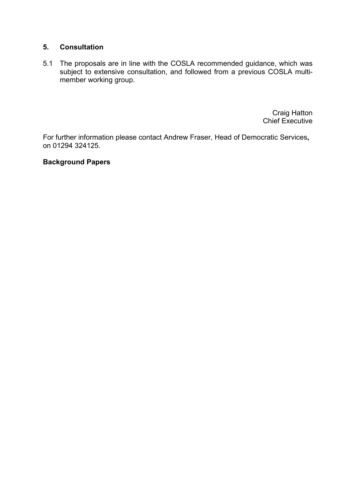## **5. Consultation**

5.1 The proposals are in line with the COSLA recommended guidance, which was subject to extensive consultation, and followed from a previous COSLA multimember working group.

> Craig Hatton Chief Executive

For further information please contact Andrew Fraser, Head of Democratic Services**,** on 01294 324125.

### **Background Papers**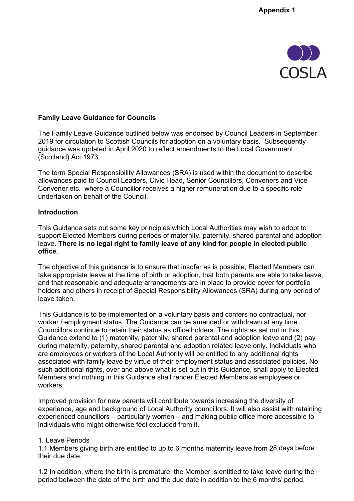

#### **Family Leave Guidance for Councils**

The Family Leave Guidance outlined below was endorsed by Council Leaders in September 2019 for circulation to Scottish Councils for adoption on a voluntary basis. Subsequently guidance was updated in April 2020 to reflect amendments to the Local Government (Scotland) Act 1973.

The term Special Responsibility Allowances (SRA) is used within the document to describe allowances paid to Council Leaders, Civic Head, Senior Councillors, Conveners and Vice Convener etc. where a Councillor receives a higher remuneration due to a specific role undertaken on behalf of the Council.

#### **Introduction**

This Guidance sets out some key principles which Local Authorities may wish to adopt to support Elected Members during periods of maternity, paternity, shared parental and adoption leave. **There is no legal right to family leave of any kind for people in elected public office**.

The objective of this guidance is to ensure that insofar as is possible, Elected Members can take appropriate leave at the time of birth or adoption, that both parents are able to take leave, and that reasonable and adequate arrangements are in place to provide cover for portfolio holders and others in receipt of Special Responsibility Allowances (SRA) during any period of leave taken.

This Guidance is to be implemented on a voluntary basis and confers no contractual, nor worker / employment status. The Guidance can be amended or withdrawn at any time. Councillors continue to retain their status as office holders. The rights as set out in this Guidance extend to (1) maternity, paternity, shared parental and adoption leave and (2) pay during maternity, paternity, shared parental and adoption related leave only. Individuals who are employees or workers of the Local Authority will be entitled to any additional rights associated with family leave by virtue of their employment status and associated policies. No such additional rights, over and above what is set out in this Guidance, shall apply to Elected Members and nothing in this Guidance shall render Elected Members as employees or workers.

Improved provision for new parents will contribute towards increasing the diversity of experience, age and background of Local Authority councillors. It will also assist with retaining experienced councillors – particularly women – and making public office more accessible to individuals who might otherwise feel excluded from it.

#### 1. Leave Periods

1.1 Members giving birth are entitled to up to 6 months maternity leave from 28 days before their due date.

1.2 In addition, where the birth is premature, the Member is entitled to take leave during the period between the date of the birth and the due date in addition to the 6 months' period.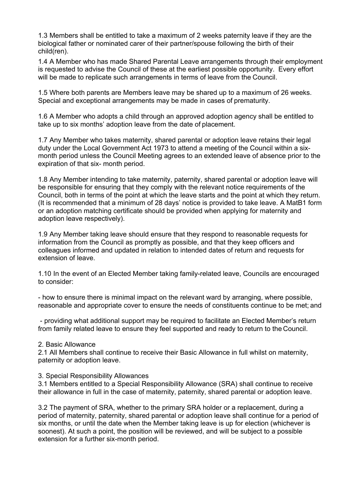1.3 Members shall be entitled to take a maximum of 2 weeks paternity leave if they are the biological father or nominated carer of their partner/spouse following the birth of their child(ren).

1.4 A Member who has made Shared Parental Leave arrangements through their employment is requested to advise the Council of these at the earliest possible opportunity. Every effort will be made to replicate such arrangements in terms of leave from the Council.

1.5 Where both parents are Members leave may be shared up to a maximum of 26 weeks. Special and exceptional arrangements may be made in cases of prematurity.

1.6 A Member who adopts a child through an approved adoption agency shall be entitled to take up to six months' adoption leave from the date of placement.

1.7 Any Member who takes maternity, shared parental or adoption leave retains their legal duty under the Local Government Act 1973 to attend a meeting of the Council within a sixmonth period unless the Council Meeting agrees to an extended leave of absence prior to the expiration of that six- month period.

1.8 Any Member intending to take maternity, paternity, shared parental or adoption leave will be responsible for ensuring that they comply with the relevant notice requirements of the Council, both in terms of the point at which the leave starts and the point at which they return. (It is recommended that a minimum of 28 days' notice is provided to take leave. A MatB1 form or an adoption matching certificate should be provided when applying for maternity and adoption leave respectively).

1.9 Any Member taking leave should ensure that they respond to reasonable requests for information from the Council as promptly as possible, and that they keep officers and colleagues informed and updated in relation to intended dates of return and requests for extension of leave.

1.10 In the event of an Elected Member taking family-related leave, Councils are encouraged to consider:

- how to ensure there is minimal impact on the relevant ward by arranging, where possible, reasonable and appropriate cover to ensure the needs of constituents continue to be met; and

- providing what additional support may be required to facilitate an Elected Member's return from family related leave to ensure they feel supported and ready to return to the Council.

#### 2. Basic Allowance

2.1 All Members shall continue to receive their Basic Allowance in full whilst on maternity, paternity or adoption leave.

#### 3. Special Responsibility Allowances

3.1 Members entitled to a Special Responsibility Allowance (SRA) shall continue to receive their allowance in full in the case of maternity, paternity, shared parental or adoption leave.

3.2 The payment of SRA, whether to the primary SRA holder or a replacement, during a period of maternity, paternity, shared parental or adoption leave shall continue for a period of six months, or until the date when the Member taking leave is up for election (whichever is soonest). At such a point, the position will be reviewed, and will be subject to a possible extension for a further six-month period.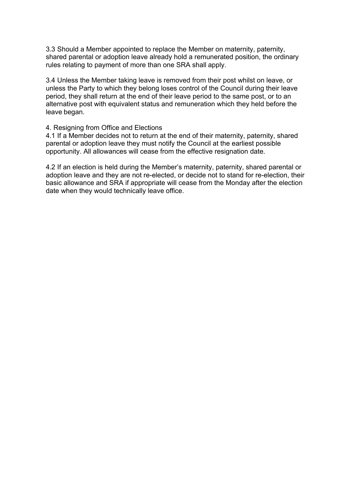3.3 Should a Member appointed to replace the Member on maternity, paternity, shared parental or adoption leave already hold a remunerated position, the ordinary rules relating to payment of more than one SRA shall apply.

3.4 Unless the Member taking leave is removed from their post whilst on leave, or unless the Party to which they belong loses control of the Council during their leave period, they shall return at the end of their leave period to the same post, or to an alternative post with equivalent status and remuneration which they held before the leave began.

#### 4. Resigning from Office and Elections

4.1 If a Member decides not to return at the end of their maternity, paternity, shared parental or adoption leave they must notify the Council at the earliest possible opportunity. All allowances will cease from the effective resignation date.

4.2 If an election is held during the Member's maternity, paternity, shared parental or adoption leave and they are not re-elected, or decide not to stand for re-election, their basic allowance and SRA if appropriate will cease from the Monday after the election date when they would technically leave office.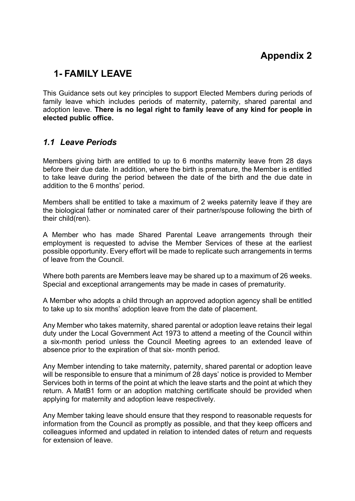# **Appendix 2**

# **1- FAMILY LEAVE**

This Guidance sets out key principles to support Elected Members during periods of family leave which includes periods of maternity, paternity, shared parental and adoption leave. **There is no legal right to family leave of any kind for people in elected public office.**

# *1.1 Leave Periods*

Members giving birth are entitled to up to 6 months maternity leave from 28 days before their due date. In addition, where the birth is premature, the Member is entitled to take leave during the period between the date of the birth and the due date in addition to the 6 months' period.

Members shall be entitled to take a maximum of 2 weeks paternity leave if they are the biological father or nominated carer of their partner/spouse following the birth of their child(ren).

A Member who has made Shared Parental Leave arrangements through their employment is requested to advise the Member Services of these at the earliest possible opportunity. Every effort will be made to replicate such arrangements in terms of leave from the Council.

Where both parents are Members leave may be shared up to a maximum of 26 weeks. Special and exceptional arrangements may be made in cases of prematurity.

A Member who adopts a child through an approved adoption agency shall be entitled to take up to six months' adoption leave from the date of placement.

Any Member who takes maternity, shared parental or adoption leave retains their legal duty under the Local Government Act 1973 to attend a meeting of the Council within a six-month period unless the Council Meeting agrees to an extended leave of absence prior to the expiration of that six- month period.

Any Member intending to take maternity, paternity, shared parental or adoption leave will be responsible to ensure that a minimum of 28 days' notice is provided to Member Services both in terms of the point at which the leave starts and the point at which they return. A MatB1 form or an adoption matching certificate should be provided when applying for maternity and adoption leave respectively.

Any Member taking leave should ensure that they respond to reasonable requests for information from the Council as promptly as possible, and that they keep officers and colleagues informed and updated in relation to intended dates of return and requests for extension of leave.